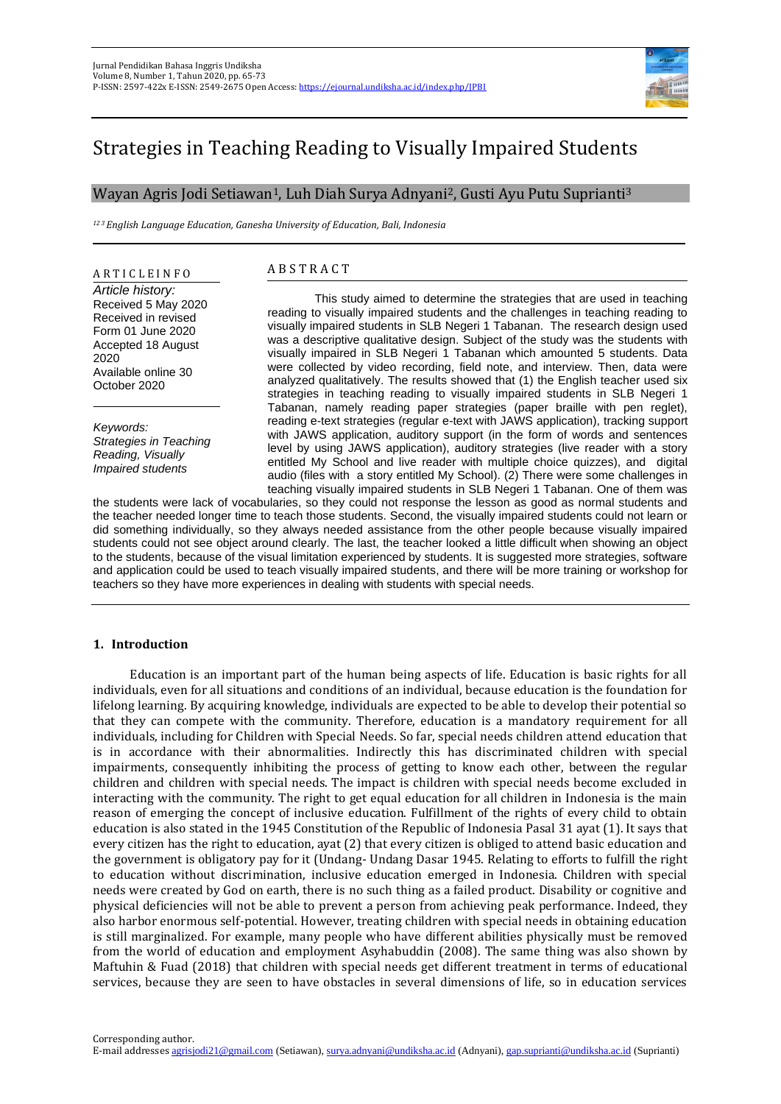

# Strategies in Teaching Reading to Visually Impaired Students

## Wayan Agris Jodi Setiawan1, Luh Diah Surya Adnyani2, Gusti Ayu Putu Suprianti<sup>3</sup>

*<sup>12</sup> <sup>3</sup>English Language Education, Ganesha University of Education, Bali, Indonesia*

A R T I C L E I N F O *Article history:* Received 5 May 2020 Received in revised Form 01 June 2020 Accepted 18 August 2020 Available online 30 October 2020

*Keywords: Strategies in Teaching Reading, Visually Impaired students*

## A B S T R A C T

This study aimed to determine the strategies that are used in teaching reading to visually impaired students and the challenges in teaching reading to visually impaired students in SLB Negeri 1 Tabanan. The research design used was a descriptive qualitative design. Subject of the study was the students with visually impaired in SLB Negeri 1 Tabanan which amounted 5 students. Data were collected by video recording, field note, and interview. Then, data were analyzed qualitatively. The results showed that (1) the English teacher used six strategies in teaching reading to visually impaired students in SLB Negeri 1 Tabanan, namely reading paper strategies (paper braille with pen reglet), reading e-text strategies (regular e-text with JAWS application), tracking support with JAWS application, auditory support (in the form of words and sentences level by using JAWS application), auditory strategies (live reader with a story entitled My School and live reader with multiple choice quizzes), and digital audio (files with a story entitled My School). (2) There were some challenges in teaching visually impaired students in SLB Negeri 1 Tabanan. One of them was

the students were lack of vocabularies, so they could not response the lesson as good as normal students and the teacher needed longer time to teach those students. Second, the visually impaired students could not learn or did something individually, so they always needed assistance from the other people because visually impaired students could not see object around clearly. The last, the teacher looked a little difficult when showing an object to the students, because of the visual limitation experienced by students. It is suggested more strategies, software and application could be used to teach visually impaired students, and there will be more training or workshop for teachers so they have more experiences in dealing with students with special needs.

## **1. Introduction**

Education is an important part of the human being aspects of life. Education is basic rights for all individuals, even for all situations and conditions of an individual, because education is the foundation for lifelong learning. By acquiring knowledge, individuals are expected to be able to develop their potential so that they can compete with the community. Therefore, education is a mandatory requirement for all individuals, including for Children with Special Needs. So far, special needs children attend education that is in accordance with their abnormalities. Indirectly this has discriminated children with special impairments, consequently inhibiting the process of getting to know each other, between the regular children and children with special needs. The impact is children with special needs become excluded in interacting with the community. The right to get equal education for all children in Indonesia is the main reason of emerging the concept of inclusive education. Fulfillment of the rights of every child to obtain education is also stated in the 1945 Constitution of the Republic of Indonesia Pasal 31 ayat (1). It says that every citizen has the right to education, ayat (2) that every citizen is obliged to attend basic education and the government is obligatory pay for it (Undang- Undang Dasar 1945. Relating to efforts to fulfill the right to education without discrimination, inclusive education emerged in Indonesia. Children with special needs were created by God on earth, there is no such thing as a failed product. Disability or cognitive and physical deficiencies will not be able to prevent a person from achieving peak performance. Indeed, they also harbor enormous self-potential. However, treating children with special needs in obtaining education is still marginalized. For example, many people who have different abilities physically must be removed from the world of education and employment Asyhabuddin (2008). The same thing was also shown by Maftuhin & Fuad (2018) that children with special needs get different treatment in terms of educational services, because they are seen to have obstacles in several dimensions of life, so in education services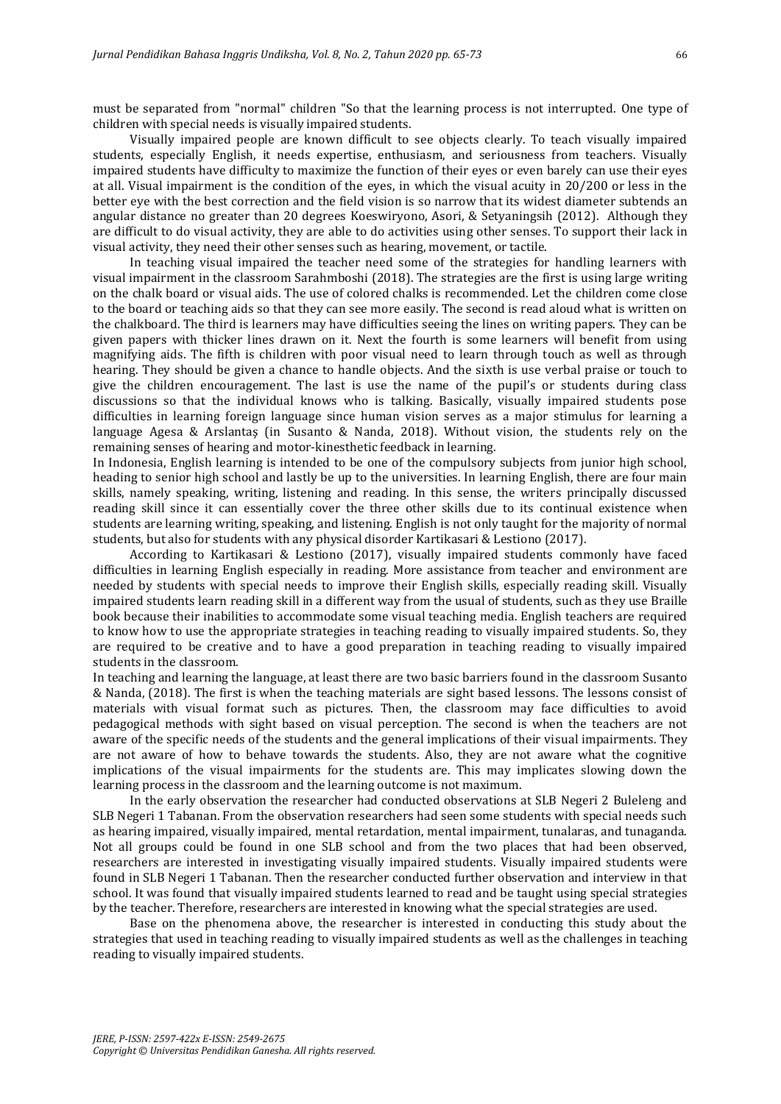must be separated from "normal" children "So that the learning process is not interrupted. One type of children with special needs is visually impaired students.

Visually impaired people are known difficult to see objects clearly. To teach visually impaired students, especially English, it needs expertise, enthusiasm, and seriousness from teachers. Visually impaired students have difficulty to maximize the function of their eyes or even barely can use their eyes at all. Visual impairment is the condition of the eyes, in which the visual acuity in 20/200 or less in the better eye with the best correction and the field vision is so narrow that its widest diameter subtends an angular distance no greater than 20 degrees Koeswiryono, Asori, & Setyaningsih (2012). Although they are difficult to do visual activity, they are able to do activities using other senses. To support their lack in visual activity, they need their other senses such as hearing, movement, or tactile.

In teaching visual impaired the teacher need some of the strategies for handling learners with visual impairment in the classroom Sarahmboshi (2018). The strategies are the first is using large writing on the chalk board or visual aids. The use of colored chalks is recommended. Let the children come close to the board or teaching aids so that they can see more easily. The second is read aloud what is written on the chalkboard. The third is learners may have difficulties seeing the lines on writing papers. They can be given papers with thicker lines drawn on it. Next the fourth is some learners will benefit from using magnifying aids. The fifth is children with poor visual need to learn through touch as well as through hearing. They should be given a chance to handle objects. And the sixth is use verbal praise or touch to give the children encouragement. The last is use the name of the pupil's or students during class discussions so that the individual knows who is talking. Basically, visually impaired students pose difficulties in learning foreign language since human vision serves as a major stimulus for learning a language Agesa & Arslantaş (in Susanto & Nanda, 2018). Without vision, the students rely on the remaining senses of hearing and motor-kinesthetic feedback in learning.

In Indonesia, English learning is intended to be one of the compulsory subjects from junior high school, heading to senior high school and lastly be up to the universities. In learning English, there are four main skills, namely speaking, writing, listening and reading. In this sense, the writers principally discussed reading skill since it can essentially cover the three other skills due to its continual existence when students are learning writing, speaking, and listening. English is not only taught for the majority of normal students, but also for students with any physical disorder Kartikasari & Lestiono (2017).

According to Kartikasari & Lestiono (2017), visually impaired students commonly have faced difficulties in learning English especially in reading. More assistance from teacher and environment are needed by students with special needs to improve their English skills, especially reading skill. Visually impaired students learn reading skill in a different way from the usual of students, such as they use Braille book because their inabilities to accommodate some visual teaching media. English teachers are required to know how to use the appropriate strategies in teaching reading to visually impaired students. So, they are required to be creative and to have a good preparation in teaching reading to visually impaired students in the classroom.

In teaching and learning the language, at least there are two basic barriers found in the classroom Susanto & Nanda, (2018). The first is when the teaching materials are sight based lessons. The lessons consist of materials with visual format such as pictures. Then, the classroom may face difficulties to avoid pedagogical methods with sight based on visual perception. The second is when the teachers are not aware of the specific needs of the students and the general implications of their visual impairments. They are not aware of how to behave towards the students. Also, they are not aware what the cognitive implications of the visual impairments for the students are. This may implicates slowing down the learning process in the classroom and the learning outcome is not maximum.

In the early observation the researcher had conducted observations at SLB Negeri 2 Buleleng and SLB Negeri 1 Tabanan. From the observation researchers had seen some students with special needs such as hearing impaired, visually impaired, mental retardation, mental impairment, tunalaras, and tunaganda. Not all groups could be found in one SLB school and from the two places that had been observed, researchers are interested in investigating visually impaired students. Visually impaired students were found in SLB Negeri 1 Tabanan. Then the researcher conducted further observation and interview in that school. It was found that visually impaired students learned to read and be taught using special strategies by the teacher. Therefore, researchers are interested in knowing what the special strategies are used.

Base on the phenomena above, the researcher is interested in conducting this study about the strategies that used in teaching reading to visually impaired students as well as the challenges in teaching reading to visually impaired students.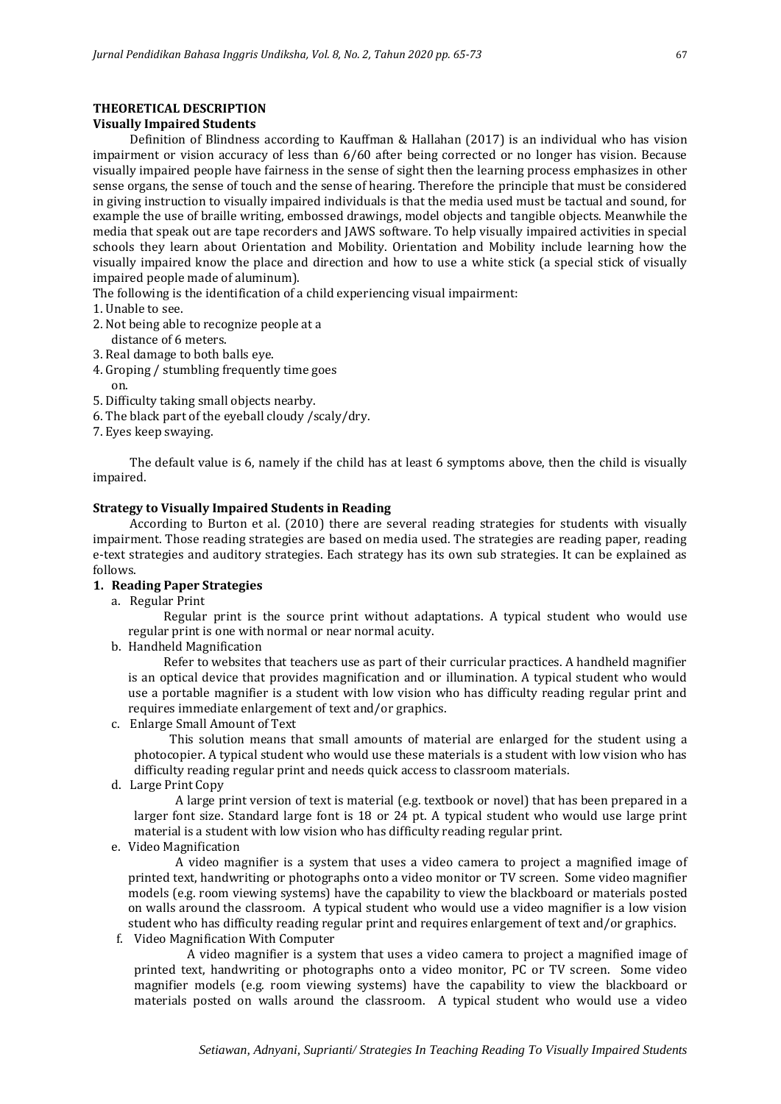## **THEORETICAL DESCRIPTION**

## **Visually Impaired Students**

Definition of Blindness according to Kauffman & Hallahan (2017) is an individual who has vision impairment or vision accuracy of less than 6/60 after being corrected or no longer has vision. Because visually impaired people have fairness in the sense of sight then the learning process emphasizes in other sense organs, the sense of touch and the sense of hearing. Therefore the principle that must be considered in giving instruction to visually impaired individuals is that the media used must be tactual and sound, for example the use of braille writing, embossed drawings, model objects and tangible objects. Meanwhile the media that speak out are tape recorders and JAWS software. To help visually impaired activities in special schools they learn about Orientation and Mobility. Orientation and Mobility include learning how the visually impaired know the place and direction and how to use a white stick (a special stick of visually impaired people made of aluminum).

The following is the identification of a child experiencing visual impairment:

- 1. Unable to see.
- 2. Not being able to recognize people at a distance of 6 meters.
- 3. Real damage to both balls eye.
- 4. Groping / stumbling frequently time goes on.
- 5. Difficulty taking small objects nearby.
- 6. The black part of the eyeball cloudy /scaly/dry.
- 7. Eyes keep swaying.

The default value is 6, namely if the child has at least 6 symptoms above, then the child is visually impaired.

## **Strategy to Visually Impaired Students in Reading**

According to Burton et al. (2010) there are several reading strategies for students with visually impairment. Those reading strategies are based on media used. The strategies are reading paper, reading e-text strategies and auditory strategies. Each strategy has its own sub strategies. It can be explained as follows.

## **1. Reading Paper Strategies**

a. Regular Print

Regular print is the source print without adaptations. A typical student who would use regular print is one with normal or near normal acuity.

b. Handheld Magnification

Refer to websites that teachers use as part of their curricular practices. A handheld magnifier is an optical device that provides magnification and or illumination. A typical student who would use a portable magnifier is a student with low vision who has difficulty reading regular print and requires immediate enlargement of text and/or graphics.

c. Enlarge Small Amount of Text

This solution means that small amounts of material are enlarged for the student using a photocopier. A typical student who would use these materials is a student with low vision who has difficulty reading regular print and needs quick access to classroom materials.

d. Large Print Copy

A large print version of text is material (e.g. textbook or novel) that has been prepared in a larger font size. Standard large font is 18 or 24 pt. A typical student who would use large print material is a student with low vision who has difficulty reading regular print.

e. Video Magnification

A video magnifier is a system that uses a video camera to project a magnified image of printed text, handwriting or photographs onto a video monitor or TV screen. Some video magnifier models (e.g. room viewing systems) have the capability to view the blackboard or materials posted on walls around the classroom. A typical student who would use a video magnifier is a low vision student who has difficulty reading regular print and requires enlargement of text and/or graphics.

f. Video Magnification With Computer

A video magnifier is a system that uses a video camera to project a magnified image of printed text, handwriting or photographs onto a video monitor, PC or TV screen. Some video magnifier models (e.g. room viewing systems) have the capability to view the blackboard or materials posted on walls around the classroom. A typical student who would use a video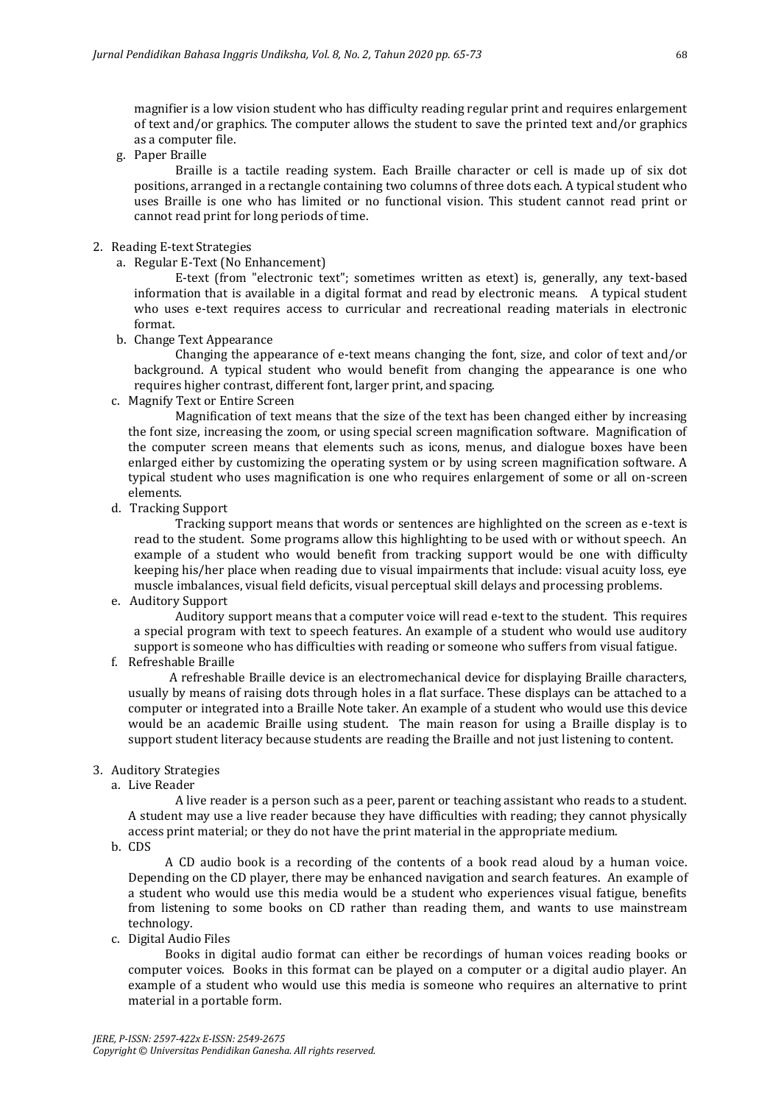magnifier is a low vision student who has difficulty reading regular print and requires enlargement of text and/or graphics. The computer allows the student to save the printed text and/or graphics as a computer file.

g. Paper Braille

Braille is a tactile reading system. Each Braille character or cell is made up of six dot positions, arranged in a rectangle containing two columns of three dots each. A typical student who uses Braille is one who has limited or no functional vision. This student cannot read print or cannot read print for long periods of time.

#### 2. Reading E-text Strategies

a. Regular E-Text (No Enhancement)

E-text (from "electronic text"; sometimes written as etext) is, generally, any text-based information that is available in a digital format and read by electronic means. A typical student who uses e-text requires access to curricular and recreational reading materials in electronic format.

b. Change Text Appearance

Changing the appearance of e-text means changing the font, size, and color of text and/or background. A typical student who would benefit from changing the appearance is one who requires higher contrast, different font, larger print, and spacing.

c. Magnify Text or Entire Screen

Magnification of text means that the size of the text has been changed either by increasing the font size, increasing the zoom, or using special screen magnification software. Magnification of the computer screen means that elements such as icons, menus, and dialogue boxes have been enlarged either by customizing the operating system or by using screen magnification software. A typical student who uses magnification is one who requires enlargement of some or all on-screen elements.

d. Tracking Support

Tracking support means that words or sentences are highlighted on the screen as e-text is read to the student. Some programs allow this highlighting to be used with or without speech. An example of a student who would benefit from tracking support would be one with difficulty keeping his/her place when reading due to visual impairments that include: visual acuity loss, eye muscle imbalances, visual field deficits, visual perceptual skill delays and processing problems.

e. Auditory Support

Auditory support means that a computer voice will read e-text to the student. This requires a special program with text to speech features. An example of a student who would use auditory support is someone who has difficulties with reading or someone who suffers from visual fatigue.

f. Refreshable Braille

A refreshable Braille device is an electromechanical device for displaying Braille characters, usually by means of raising dots through holes in a flat surface. These displays can be attached to a computer or integrated into a Braille Note taker. An example of a student who would use this device would be an academic Braille using student. The main reason for using a Braille display is to support student literacy because students are reading the Braille and not just listening to content.

## 3. Auditory Strategies

a. Live Reader

A live reader is a person such as a peer, parent or teaching assistant who reads to a student. A student may use a live reader because they have difficulties with reading; they cannot physically access print material; or they do not have the print material in the appropriate medium.

b. CDS

A CD audio book is a recording of the contents of a book read aloud by a human voice. Depending on the CD player, there may be enhanced navigation and search features. An example of a student who would use this media would be a student who experiences visual fatigue, benefits from listening to some books on CD rather than reading them, and wants to use mainstream technology.

c. Digital Audio Files

Books in digital audio format can either be recordings of human voices reading books or computer voices. Books in this format can be played on a computer or a digital audio player. An example of a student who would use this media is someone who requires an alternative to print material in a portable form.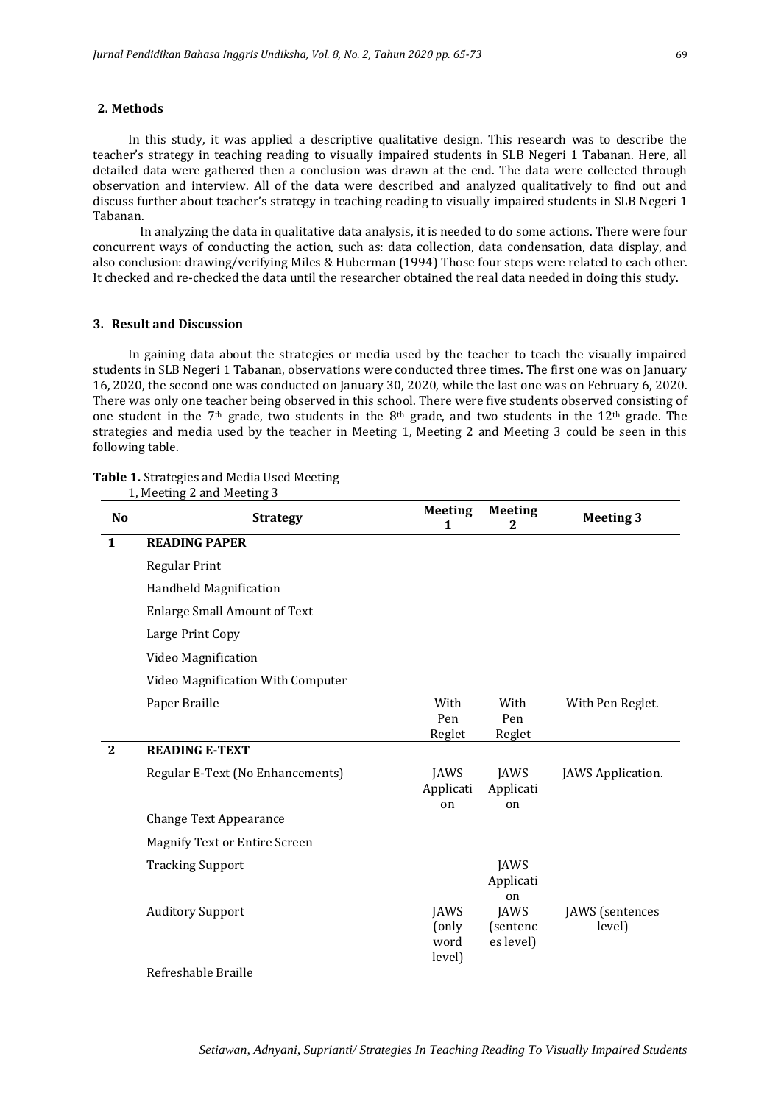## **2. Methods**

In this study, it was applied a descriptive qualitative design. This research was to describe the teacher's strategy in teaching reading to visually impaired students in SLB Negeri 1 Tabanan. Here, all detailed data were gathered then a conclusion was drawn at the end. The data were collected through observation and interview. All of the data were described and analyzed qualitatively to find out and discuss further about teacher's strategy in teaching reading to visually impaired students in SLB Negeri 1 Tabanan.

In analyzing the data in qualitative data analysis, it is needed to do some actions. There were four concurrent ways of conducting the action, such as: data collection, data condensation, data display, and also conclusion: drawing/verifying Miles & Huberman (1994) Those four steps were related to each other. It checked and re-checked the data until the researcher obtained the real data needed in doing this study.

#### **3. Result and Discussion**

In gaining data about the strategies or media used by the teacher to teach the visually impaired students in SLB Negeri 1 Tabanan, observations were conducted three times. The first one was on January 16, 2020, the second one was conducted on January 30, 2020, while the last one was on February 6, 2020. There was only one teacher being observed in this school. There were five students observed consisting of one student in the 7<sup>th</sup> grade, two students in the 8<sup>th</sup> grade, and two students in the 12<sup>th</sup> grade. The strategies and media used by the teacher in Meeting 1, Meeting 2 and Meeting 3 could be seen in this following table.

#### **Table 1.** Strategies and Media Used Meeting

| N <sub>o</sub> | <b>Strategy</b>                      | <b>Meeting</b><br>1                    | <b>Meeting</b><br>2            | <b>Meeting 3</b>          |
|----------------|--------------------------------------|----------------------------------------|--------------------------------|---------------------------|
| $\mathbf{1}$   | <b>READING PAPER</b>                 |                                        |                                |                           |
|                | <b>Regular Print</b>                 |                                        |                                |                           |
|                | Handheld Magnification               |                                        |                                |                           |
|                | <b>Enlarge Small Amount of Text</b>  |                                        |                                |                           |
|                | Large Print Copy                     |                                        |                                |                           |
|                | Video Magnification                  |                                        |                                |                           |
|                | Video Magnification With Computer    |                                        |                                |                           |
|                | Paper Braille                        | With<br>Pen<br>Reglet                  | With<br>Pen<br>Reglet          | With Pen Reglet.          |
| $\overline{2}$ | <b>READING E-TEXT</b>                |                                        |                                |                           |
|                | Regular E-Text (No Enhancements)     | <b>JAWS</b><br>Applicati<br>on         | JAWS<br>Applicati<br>on        | JAWS Application.         |
|                | <b>Change Text Appearance</b>        |                                        |                                |                           |
|                | <b>Magnify Text or Entire Screen</b> |                                        |                                |                           |
|                | <b>Tracking Support</b>              |                                        | <b>JAWS</b><br>Applicati<br>on |                           |
|                | <b>Auditory Support</b>              | <b>JAWS</b><br>(only<br>word<br>level) | JAWS<br>(sentenc<br>es level)  | JAWS (sentences<br>level) |
|                | Refreshable Braille                  |                                        |                                |                           |

1, Meeting 2 and Meeting 3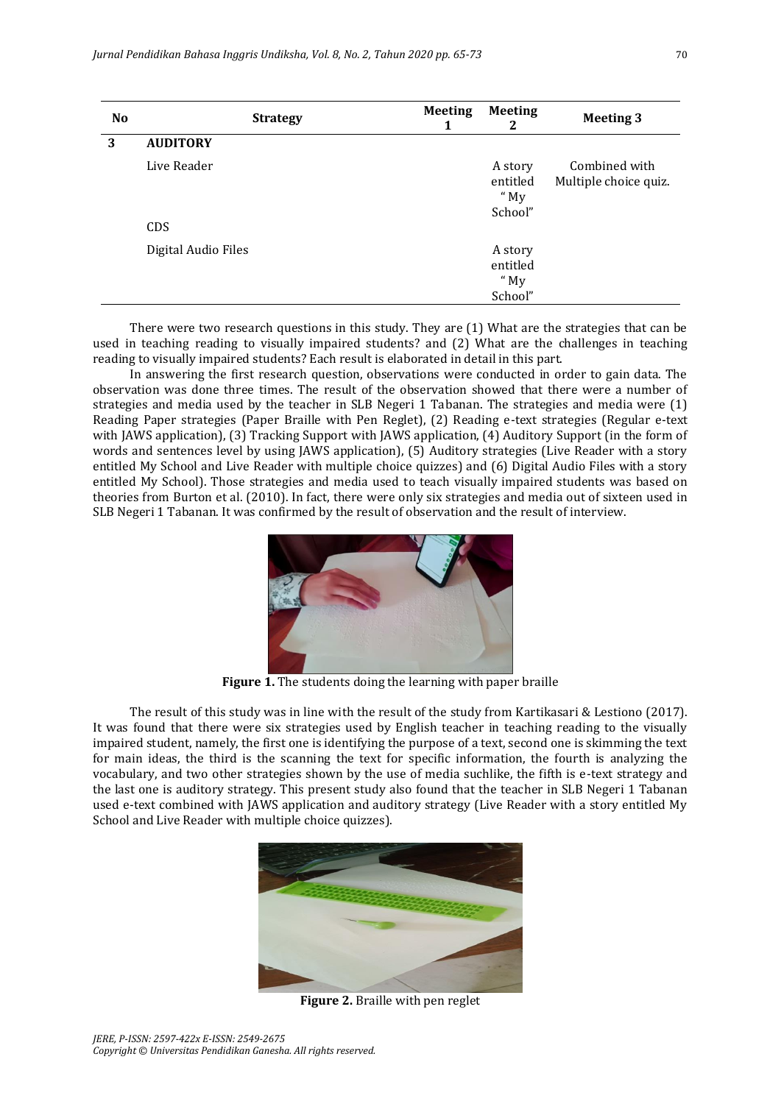| <b>No</b> | <b>Strategy</b>           | <b>Meeting</b><br>1 | <b>Meeting</b><br>2                      | <b>Meeting 3</b>                       |
|-----------|---------------------------|---------------------|------------------------------------------|----------------------------------------|
| 3         | <b>AUDITORY</b>           |                     |                                          |                                        |
|           | Live Reader<br><b>CDS</b> |                     | A story<br>entitled<br>" $My$<br>School" | Combined with<br>Multiple choice quiz. |
|           | Digital Audio Files       |                     | A story<br>entitled<br>" $My$<br>School" |                                        |

There were two research questions in this study. They are (1) What are the strategies that can be used in teaching reading to visually impaired students? and (2) What are the challenges in teaching reading to visually impaired students? Each result is elaborated in detail in this part.

In answering the first research question, observations were conducted in order to gain data. The observation was done three times. The result of the observation showed that there were a number of strategies and media used by the teacher in SLB Negeri 1 Tabanan. The strategies and media were (1) Reading Paper strategies (Paper Braille with Pen Reglet), (2) Reading e-text strategies (Regular e-text with JAWS application), (3) Tracking Support with JAWS application, (4) Auditory Support (in the form of words and sentences level by using JAWS application), (5) Auditory strategies (Live Reader with a story entitled My School and Live Reader with multiple choice quizzes) and (6) Digital Audio Files with a story entitled My School). Those strategies and media used to teach visually impaired students was based on theories from Burton et al. (2010). In fact, there were only six strategies and media out of sixteen used in SLB Negeri 1 Tabanan. It was confirmed by the result of observation and the result of interview.



**Figure 1.** The students doing the learning with paper braille

The result of this study was in line with the result of the study from Kartikasari & Lestiono (2017). It was found that there were six strategies used by English teacher in teaching reading to the visually impaired student, namely, the first one is identifying the purpose of a text, second one is skimming the text for main ideas, the third is the scanning the text for specific information, the fourth is analyzing the vocabulary, and two other strategies shown by the use of media suchlike, the fifth is e-text strategy and the last one is auditory strategy. This present study also found that the teacher in SLB Negeri 1 Tabanan used e-text combined with JAWS application and auditory strategy (Live Reader with a story entitled My School and Live Reader with multiple choice quizzes).



**Figure 2.** Braille with pen reglet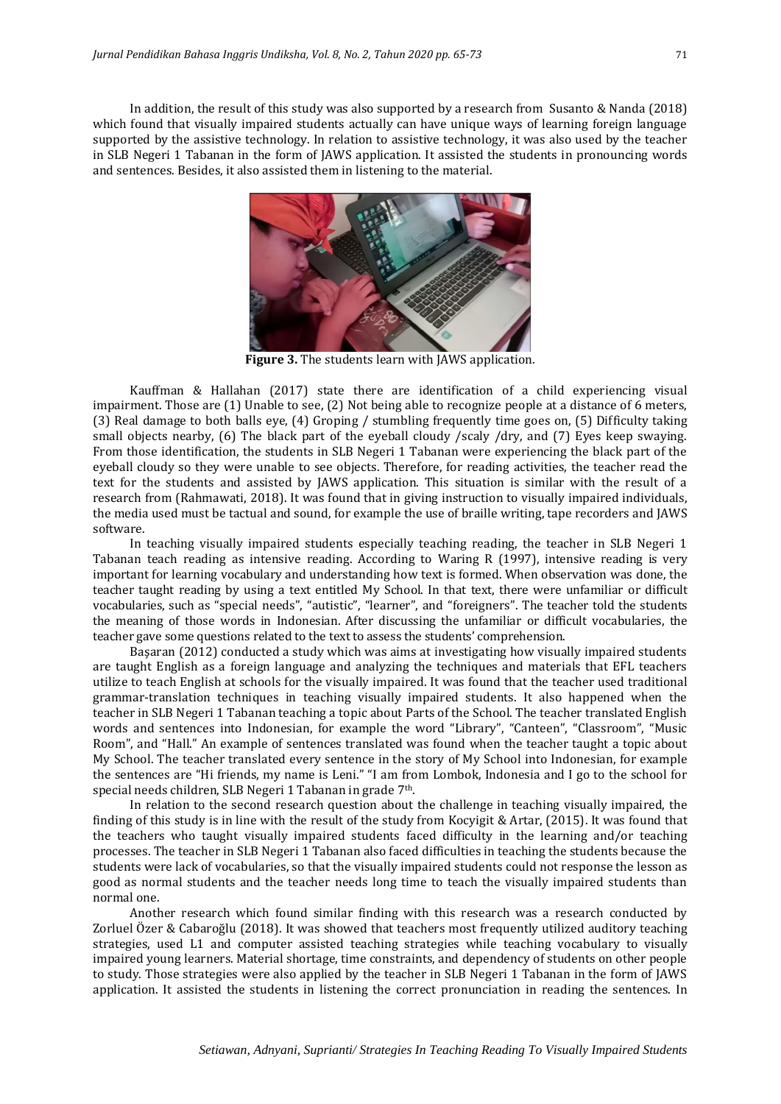In addition, the result of this study was also supported by a research from Susanto & Nanda (2018) which found that visually impaired students actually can have unique ways of learning foreign language supported by the assistive technology. In relation to assistive technology, it was also used by the teacher in SLB Negeri 1 Tabanan in the form of JAWS application. It assisted the students in pronouncing words and sentences. Besides, it also assisted them in listening to the material.



**Figure 3.** The students learn with JAWS application.

Kauffman & Hallahan (2017) state there are identification of a child experiencing visual impairment. Those are (1) Unable to see, (2) Not being able to recognize people at a distance of 6 meters, (3) Real damage to both balls eye, (4) Groping / stumbling frequently time goes on, (5) Difficulty taking small objects nearby, (6) The black part of the eyeball cloudy /scaly /dry, and (7) Eyes keep swaying. From those identification, the students in SLB Negeri 1 Tabanan were experiencing the black part of the eyeball cloudy so they were unable to see objects. Therefore, for reading activities, the teacher read the text for the students and assisted by JAWS application. This situation is similar with the result of a research from (Rahmawati, 2018). It was found that in giving instruction to visually impaired individuals, the media used must be tactual and sound, for example the use of braille writing, tape recorders and JAWS software.

In teaching visually impaired students especially teaching reading, the teacher in SLB Negeri 1 Tabanan teach reading as intensive reading. According to Waring R (1997), intensive reading is very important for learning vocabulary and understanding how text is formed. When observation was done, the teacher taught reading by using a text entitled My School. In that text, there were unfamiliar or difficult vocabularies, such as "special needs", "autistic", "learner", and "foreigners". The teacher told the students the meaning of those words in Indonesian. After discussing the unfamiliar or difficult vocabularies, the teacher gave some questions related to the text to assess the students' comprehension.

Başaran (2012) conducted a study which was aims at investigating how visually impaired students are taught English as a foreign language and analyzing the techniques and materials that EFL teachers utilize to teach English at schools for the visually impaired. It was found that the teacher used traditional grammar-translation techniques in teaching visually impaired students. It also happened when the teacher in SLB Negeri 1 Tabanan teaching a topic about Parts of the School. The teacher translated English words and sentences into Indonesian, for example the word "Library", "Canteen", "Classroom", "Music Room", and "Hall." An example of sentences translated was found when the teacher taught a topic about My School. The teacher translated every sentence in the story of My School into Indonesian, for example the sentences are "Hi friends, my name is Leni." "I am from Lombok, Indonesia and I go to the school for special needs children, SLB Negeri 1 Tabanan in grade 7<sup>th</sup>.

In relation to the second research question about the challenge in teaching visually impaired, the finding of this study is in line with the result of the study from Kocyigit & Artar, (2015). It was found that the teachers who taught visually impaired students faced difficulty in the learning and/or teaching processes. The teacher in SLB Negeri 1 Tabanan also faced difficulties in teaching the students because the students were lack of vocabularies, so that the visually impaired students could not response the lesson as good as normal students and the teacher needs long time to teach the visually impaired students than normal one.

Another research which found similar finding with this research was a research conducted by Zorluel Özer & Cabaroğlu (2018). It was showed that teachers most frequently utilized auditory teaching strategies, used L1 and computer assisted teaching strategies while teaching vocabulary to visually impaired young learners. Material shortage, time constraints, and dependency of students on other people to study. Those strategies were also applied by the teacher in SLB Negeri 1 Tabanan in the form of JAWS application. It assisted the students in listening the correct pronunciation in reading the sentences. In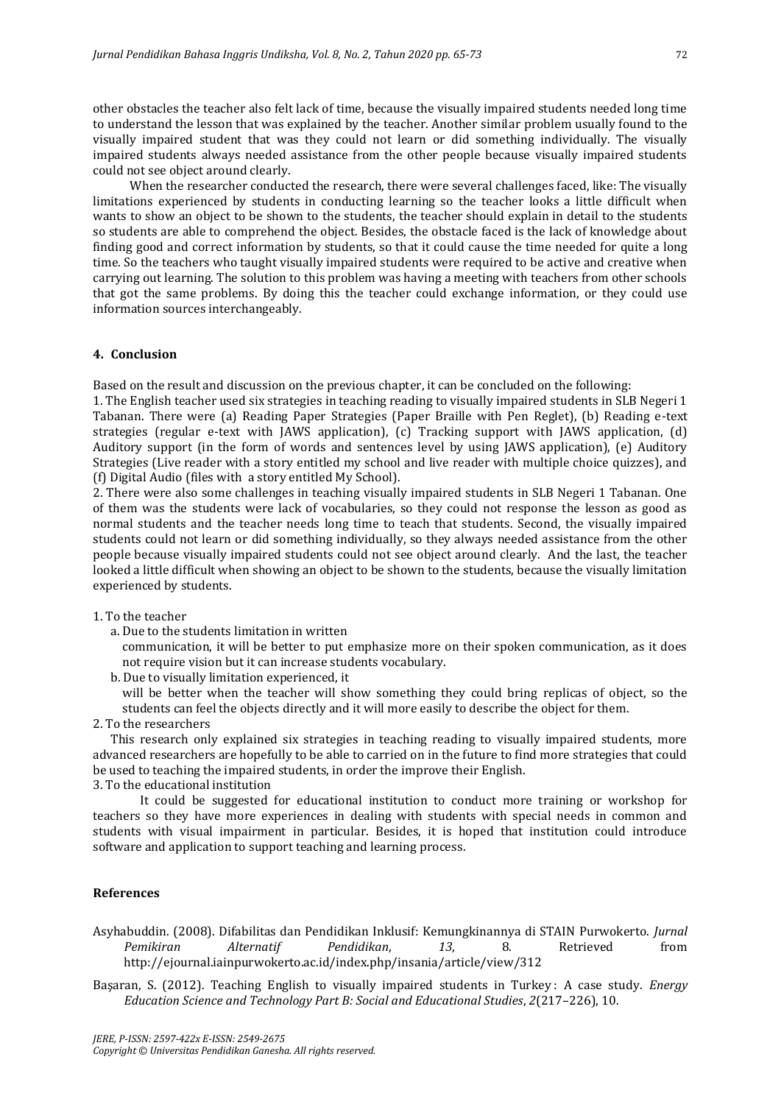other obstacles the teacher also felt lack of time, because the visually impaired students needed long time to understand the lesson that was explained by the teacher. Another similar problem usually found to the visually impaired student that was they could not learn or did something individually. The visually impaired students always needed assistance from the other people because visually impaired students could not see object around clearly.

When the researcher conducted the research, there were several challenges faced, like: The visually limitations experienced by students in conducting learning so the teacher looks a little difficult when wants to show an object to be shown to the students, the teacher should explain in detail to the students so students are able to comprehend the object. Besides, the obstacle faced is the lack of knowledge about finding good and correct information by students, so that it could cause the time needed for quite a long time. So the teachers who taught visually impaired students were required to be active and creative when carrying out learning. The solution to this problem was having a meeting with teachers from other schools that got the same problems. By doing this the teacher could exchange information, or they could use information sources interchangeably.

## **4. Conclusion**

Based on the result and discussion on the previous chapter, it can be concluded on the following:

1. The English teacher used six strategies in teaching reading to visually impaired students in SLB Negeri 1 Tabanan. There were (a) Reading Paper Strategies (Paper Braille with Pen Reglet), (b) Reading e-text strategies (regular e-text with JAWS application), (c) Tracking support with JAWS application, (d) Auditory support (in the form of words and sentences level by using JAWS application), (e) Auditory Strategies (Live reader with a story entitled my school and live reader with multiple choice quizzes), and (f) Digital Audio (files with a story entitled My School).

2. There were also some challenges in teaching visually impaired students in SLB Negeri 1 Tabanan. One of them was the students were lack of vocabularies, so they could not response the lesson as good as normal students and the teacher needs long time to teach that students. Second, the visually impaired students could not learn or did something individually, so they always needed assistance from the other people because visually impaired students could not see object around clearly. And the last, the teacher looked a little difficult when showing an object to be shown to the students, because the visually limitation experienced by students.

#### 1. To the teacher

a. Due to the students limitation in written

communication, it will be better to put emphasize more on their spoken communication, as it does not require vision but it can increase students vocabulary.

b. Due to visually limitation experienced, it

will be better when the teacher will show something they could bring replicas of object, so the students can feel the objects directly and it will more easily to describe the object for them.

2. To the researchers

This research only explained six strategies in teaching reading to visually impaired students, more advanced researchers are hopefully to be able to carried on in the future to find more strategies that could be used to teaching the impaired students, in order the improve their English.

3. To the educational institution

It could be suggested for educational institution to conduct more training or workshop for teachers so they have more experiences in dealing with students with special needs in common and students with visual impairment in particular. Besides, it is hoped that institution could introduce software and application to support teaching and learning process.

#### **References**

Asyhabuddin. (2008). Difabilitas dan Pendidikan Inklusif: Kemungkinannya di STAIN Purwokerto. *Jurnal Pemikiran Alternatif Pendidikan*, *13*, 8. Retrieved from http://ejournal.iainpurwokerto.ac.id/index.php/insania/article/view/312

Başaran, S. (2012). Teaching English to visually impaired students in Turkey : A case study. *Energy Education Science and Technology Part B: Social and Educational Studies*, *2*(217–226), 10.